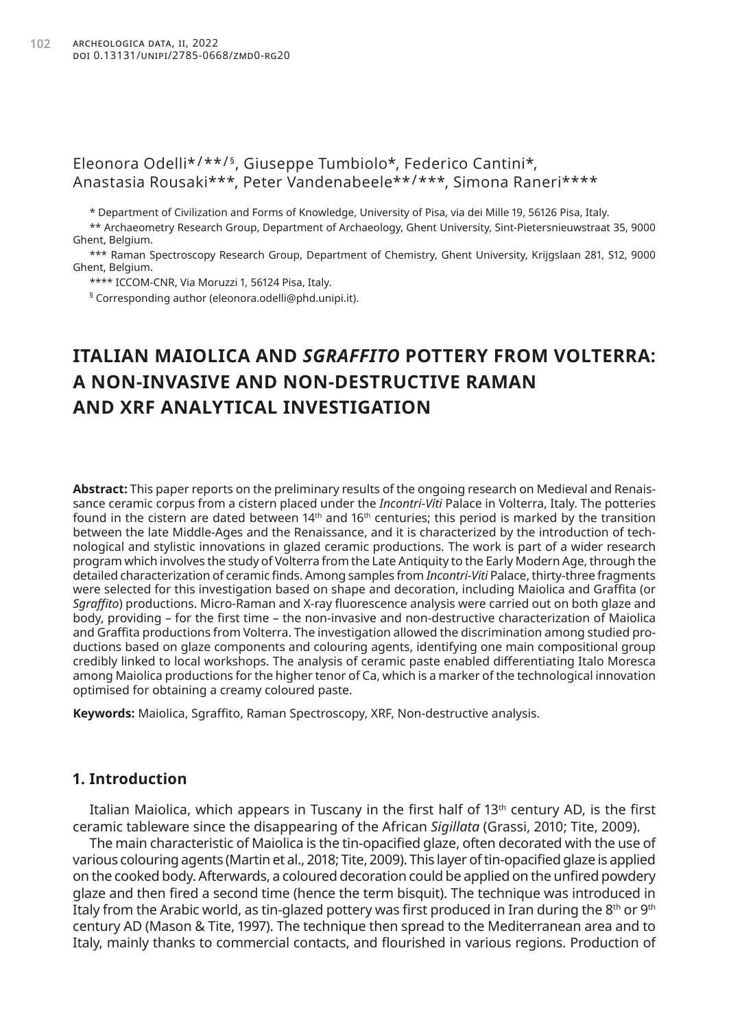## Eleonora Odelli\*/\*\*/<sup>§</sup>, Giuseppe Tumbiolo\*, Federico Cantini\*, Anastasia Rousaki\*\*\*, Peter Vandenabeele\*\*/\*\*\*, Simona Raneri\*\*\*\*

\* Department of Civilization and Forms of Knowledge, University of Pisa, via dei Mille 19, 56126 Pisa, Italy.

\*\* Archaeometry Research Group, Department of Archaeology, Ghent University, Sint-Pietersnieuwstraat 35, 9000 Ghent, Belgium.

\*\*\* Raman Spectroscopy Research Group, Department of Chemistry, Ghent University, Krijgslaan 281, S12, 9000 Ghent, Belgium.

\*\*\*\* ICCOM-CNR, Via Moruzzi 1, 56124 Pisa, Italy.

§ Corresponding author ([eleonora.odelli@phd.unipi.it](mailto:eleonora.odelli@phd.unipi.it)).

# **ITALIAN MAIOLICA AND** *SGRAFFITO* **POTTERY FROM VOLTERRA: A NON-INVASIVE AND NON-DESTRUCTIVE RAMAN AND XRF ANALYTICAL INVESTIGATION**

**Abstract:** This paper reports on the preliminary results of the ongoing research on Medieval and Renaissance ceramic corpus from a cistern placed under the *Incontri-Viti* Palace in Volterra, Italy. The potteries found in the cistern are dated between  $14<sup>th</sup>$  and  $16<sup>th</sup>$  centuries; this period is marked by the transition between the late Middle-Ages and the Renaissance, and it is characterized by the introduction of technological and stylistic innovations in glazed ceramic productions. The work is part of a wider research program which involves the study of Volterra from the Late Antiquity to the Early Modern Age, through the detailed characterization of ceramic finds. Among samples from *Incontri-Viti* Palace, thirty-three fragments were selected for this investigation based on shape and decoration, including Maiolica and Graffita (or *Sgraffito*) productions. Micro-Raman and X-ray fluorescence analysis were carried out on both glaze and body, providing – for the first time – the non-invasive and non-destructive characterization of Maiolica and Graffita productions from Volterra. The investigation allowed the discrimination among studied productions based on glaze components and colouring agents, identifying one main compositional group credibly linked to local workshops. The analysis of ceramic paste enabled differentiating Italo Moresca among Maiolica productions for the higher tenor of Ca, which is a marker of the technological innovation optimised for obtaining a creamy coloured paste.

**Keywords:** Maiolica, Sgraffito, Raman Spectroscopy, XRF, Non-destructive analysis.

## **1. Introduction**

Italian Maiolica, which appears in Tuscany in the first half of 13<sup>th</sup> century AD, is the first ceramic tableware since the disappearing of the African *Sigillata* (Grassi, 2010; Tite, 2009).

The main characteristic of Maiolica is the tin-opacified glaze, often decorated with the use of various colouring agents (Martin et al., 2018; Tite, 2009). This layer of tin-opacified glaze is applied on the cooked body. Afterwards, a coloured decoration could be applied on the unfired powdery glaze and then fired a second time (hence the term bisquit). The technique was introduced in Italy from the Arabic world, as tin-glazed pottery was first produced in Iran during the 8th or 9th century AD (Mason & Tite, 1997). The technique then spread to the Mediterranean area and to Italy, mainly thanks to commercial contacts, and flourished in various regions. Production of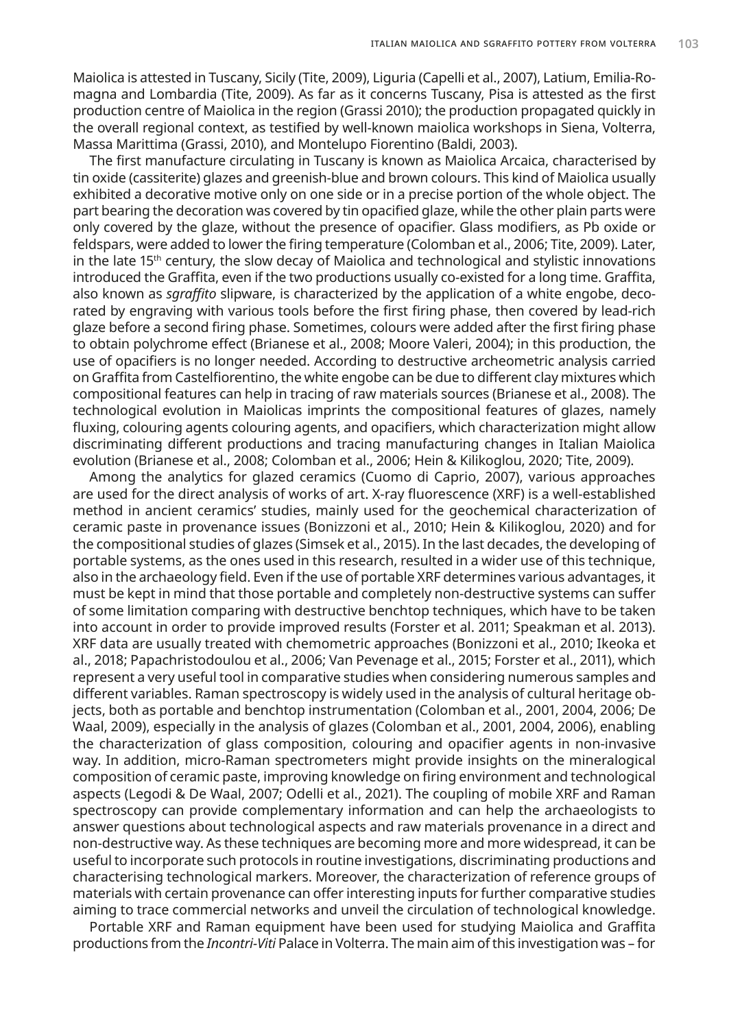Maiolica is attested in Tuscany, Sicily (Tite, 2009), Liguria (Capelli et al., 2007), Latium, Emilia-Romagna and Lombardia (Tite, 2009). As far as it concerns Tuscany, Pisa is attested as the first production centre of Maiolica in the region (Grassi 2010); the production propagated quickly in the overall regional context, as testified by well-known maiolica workshops in Siena, Volterra, Massa Marittima (Grassi, 2010), and Montelupo Fiorentino (Baldi, 2003).

The first manufacture circulating in Tuscany is known as Maiolica Arcaica, characterised by tin oxide (cassiterite) glazes and greenish-blue and brown colours. This kind of Maiolica usually exhibited a decorative motive only on one side or in a precise portion of the whole object. The part bearing the decoration was covered by tin opacified glaze, while the other plain parts were only covered by the glaze, without the presence of opacifier. Glass modifiers, as Pb oxide or feldspars, were added to lower the firing temperature (Colomban et al., 2006; Tite, 2009). Later, in the late  $15<sup>th</sup>$  century, the slow decay of Maiolica and technological and stylistic innovations introduced the Graffita, even if the two productions usually co-existed for a long time. Graffita, also known as *sgraffito* slipware, is characterized by the application of a white engobe, decorated by engraving with various tools before the first firing phase, then covered by lead-rich glaze before a second firing phase. Sometimes, colours were added after the first firing phase to obtain polychrome effect (Brianese et al., 2008; Moore Valeri, 2004); in this production, the use of opacifiers is no longer needed. According to destructive archeometric analysis carried on Graffita from Castelfiorentino, the white engobe can be due to different clay mixtures which compositional features can help in tracing of raw materials sources (Brianese et al., 2008). The technological evolution in Maiolicas imprints the compositional features of glazes, namely fluxing, colouring agents colouring agents, and opacifiers, which characterization might allow discriminating different productions and tracing manufacturing changes in Italian Maiolica evolution (Brianese et al., 2008; Colomban et al., 2006; Hein & Kilikoglou, 2020; Tite, 2009).

Among the analytics for glazed ceramics (Cuomo di Caprio, 2007), various approaches are used for the direct analysis of works of art. X-ray fluorescence (XRF) is a well-established method in ancient ceramics' studies, mainly used for the geochemical characterization of ceramic paste in provenance issues (Bonizzoni et al., 2010; Hein & Kilikoglou, 2020) and for the compositional studies of glazes (Simsek et al., 2015). In the last decades, the developing of portable systems, as the ones used in this research, resulted in a wider use of this technique, also in the archaeology field. Even if the use of portable XRF determines various advantages, it must be kept in mind that those portable and completely non-destructive systems can suffer of some limitation comparing with destructive benchtop techniques, which have to be taken into account in order to provide improved results (Forster et al. 2011; Speakman et al. 2013). XRF data are usually treated with chemometric approaches (Bonizzoni et al., 2010; Ikeoka et al., 2018; Papachristodoulou et al., 2006; Van Pevenage et al., 2015; Forster et al., 2011), which represent a very useful tool in comparative studies when considering numerous samples and different variables. Raman spectroscopy is widely used in the analysis of cultural heritage objects, both as portable and benchtop instrumentation (Colomban et al., 2001, 2004, 2006; De Waal, 2009), especially in the analysis of glazes (Colomban et al., 2001, 2004, 2006), enabling the characterization of glass composition, colouring and opacifier agents in non-invasive way. In addition, micro-Raman spectrometers might provide insights on the mineralogical composition of ceramic paste, improving knowledge on firing environment and technological aspects (Legodi & De Waal, 2007; Odelli et al., 2021). The coupling of mobile XRF and Raman spectroscopy can provide complementary information and can help the archaeologists to answer questions about technological aspects and raw materials provenance in a direct and non-destructive way. As these techniques are becoming more and more widespread, it can be useful to incorporate such protocols in routine investigations, discriminating productions and characterising technological markers. Moreover, the characterization of reference groups of materials with certain provenance can offer interesting inputs for further comparative studies aiming to trace commercial networks and unveil the circulation of technological knowledge.

Portable XRF and Raman equipment have been used for studying Maiolica and Graffita productions from the *Incontri-Viti* Palace in Volterra. The main aim of this investigation was – for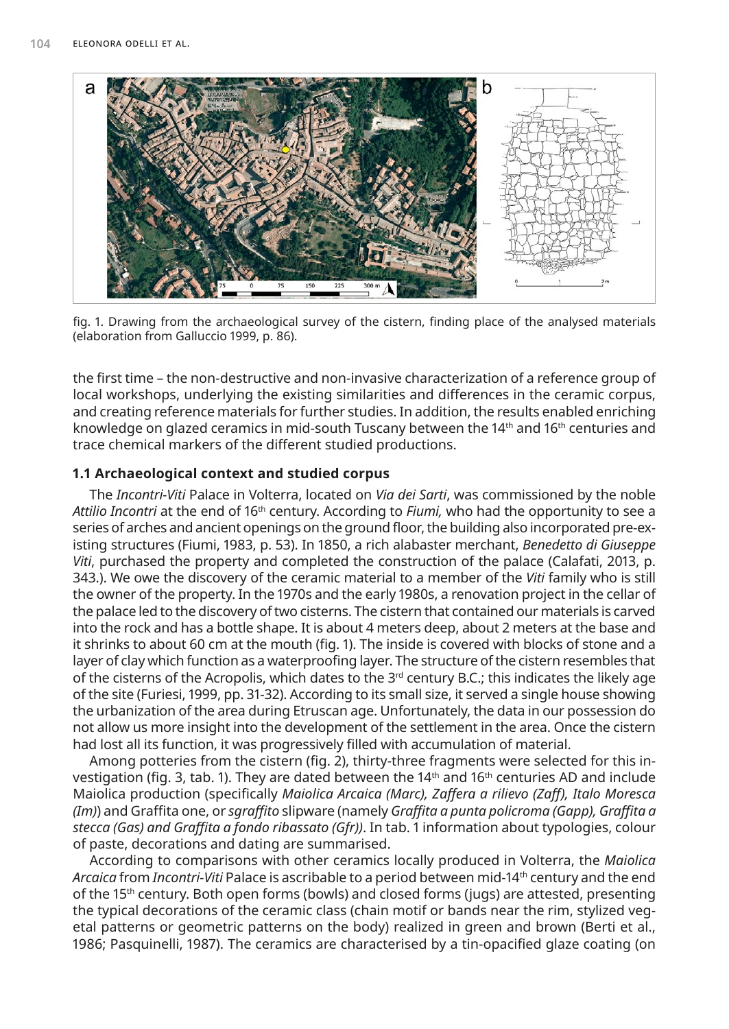

fig. 1. Drawing from the archaeological survey of the cistern, finding place of the analysed materials (elaboration from Galluccio 1999, p. 86).

the first time – the non-destructive and non-invasive characterization of a reference group of local workshops, underlying the existing similarities and differences in the ceramic corpus, and creating reference materials for further studies. In addition, the results enabled enriching knowledge on glazed ceramics in mid-south Tuscany between the  $14<sup>th</sup>$  and  $16<sup>th</sup>$  centuries and trace chemical markers of the different studied productions.

#### **1.1 Archaeological context and studied corpus**

The *Incontri-Viti* Palace in Volterra, located on *Via dei Sarti*, was commissioned by the noble *Attilio Incontri* at the end of 16th century. According to *Fiumi,* who had the opportunity to see a series of arches and ancient openings on the ground floor, the building also incorporated pre-existing structures (Fiumi, 1983, p. 53). In 1850, a rich alabaster merchant, *Benedetto di Giuseppe Viti*, purchased the property and completed the construction of the palace (Calafati, 2013, p. 343.). We owe the discovery of the ceramic material to a member of the *Viti* family who is still the owner of the property. In the 1970s and the early 1980s, a renovation project in the cellar of the palace led to the discovery of two cisterns. The cistern that contained our materials is carved into the rock and has a bottle shape. It is about 4 meters deep, about 2 meters at the base and it shrinks to about 60 cm at the mouth (fig. 1). The inside is covered with blocks of stone and a layer of clay which function as a waterproofing layer. The structure of the cistern resembles that of the cisterns of the Acropolis, which dates to the 3<sup>rd</sup> century B.C.; this indicates the likely age of the site (Furiesi, 1999, pp. 31-32). According to its small size, it served a single house showing the urbanization of the area during Etruscan age. Unfortunately, the data in our possession do not allow us more insight into the development of the settlement in the area. Once the cistern had lost all its function, it was progressively filled with accumulation of material.

Among potteries from the cistern (fig. 2), thirty-three fragments were selected for this investigation (fig. 3, tab. 1). They are dated between the  $14<sup>th</sup>$  and  $16<sup>th</sup>$  centuries AD and include Maiolica production (specifically *Maiolica Arcaica (Marc), Zaffera a rilievo (Zaff), Italo Moresca (Im)*) and Graffita one, or *sgraffito* slipware (namely *Graffita a punta policroma (Gapp), Graffita a stecca (Gas) and Graffita a fondo ribassato (Gfr))*. In tab. 1 information about typologies, colour of paste, decorations and dating are summarised.

According to comparisons with other ceramics locally produced in Volterra, the *Maiolica Arcaica* from *Incontri-Viti* Palace is ascribable to a period between mid-14th century and the end of the 15<sup>th</sup> century. Both open forms (bowls) and closed forms (jugs) are attested, presenting the typical decorations of the ceramic class (chain motif or bands near the rim, stylized vegetal patterns or geometric patterns on the body) realized in green and brown (Berti et al., 1986; Pasquinelli, 1987). The ceramics are characterised by a tin-opacified glaze coating (on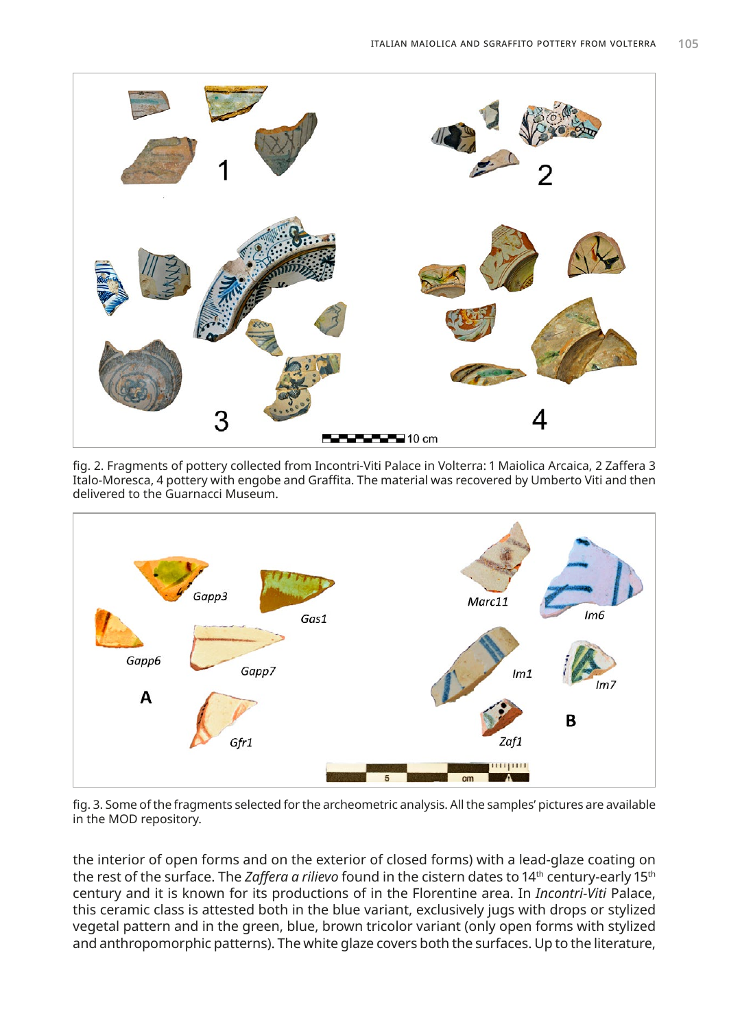

fig. 2. Fragments of pottery collected from Incontri-Viti Palace in Volterra: 1 Maiolica Arcaica, 2 Zaffera 3 Italo-Moresca, 4 pottery with engobe and Graffita. The material was recovered by Umberto Viti and then delivered to the Guarnacci Museum.



fig. 3. Some of the fragments selected for the archeometric analysis. All the samples' pictures are available in the MOD repository.

the interior of open forms and on the exterior of closed forms) with a lead-glaze coating on the rest of the surface. The *Zaffera a rilievo* found in the cistern dates to 14<sup>th</sup> century-early 15<sup>th</sup> century and it is known for its productions of in the Florentine area. In *Incontri-Viti* Palace, this ceramic class is attested both in the blue variant, exclusively jugs with drops or stylized vegetal pattern and in the green, blue, brown tricolor variant (only open forms with stylized and anthropomorphic patterns). The white glaze covers both the surfaces. Up to the literature,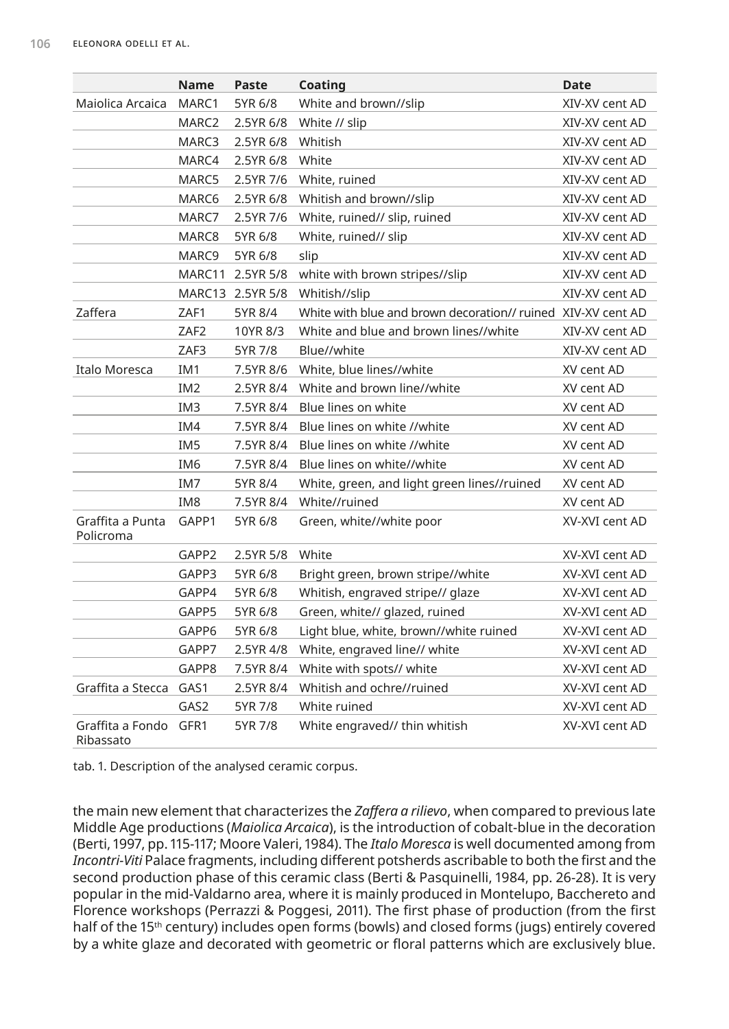|                               | <b>Name</b>       | Paste            | Coating                                                                                                 | <b>Date</b>    |
|-------------------------------|-------------------|------------------|---------------------------------------------------------------------------------------------------------|----------------|
| Maiolica Arcaica              | MARC1             | 5YR 6/8          | White and brown//slip                                                                                   | XIV-XV cent AD |
|                               | MARC2             | 2.5YR 6/8        | White // slip                                                                                           | XIV-XV cent AD |
| MARC3<br>2.5YR 6/8            |                   |                  | Whitish                                                                                                 | XIV-XV cent AD |
|                               | MARC4             | 2.5YR 6/8        | White                                                                                                   | XIV-XV cent AD |
|                               | MARC5             | 2.5YR 7/6        | White, ruined                                                                                           | XIV-XV cent AD |
|                               | MARC <sub>6</sub> | 2.5YR 6/8        | Whitish and brown//slip                                                                                 | XIV-XV cent AD |
|                               | MARC7             | 2.5YR 7/6        | White, ruined// slip, ruined                                                                            | XIV-XV cent AD |
|                               | MARC8             | 5YR 6/8          | White, ruined// slip                                                                                    | XIV-XV cent AD |
|                               | MARC9             | 5YR 6/8          | slip                                                                                                    | XIV-XV cent AD |
|                               | MARC11            | 2.5YR 5/8        | white with brown stripes//slip                                                                          | XIV-XV cent AD |
|                               |                   | MARC13 2.5YR 5/8 | Whitish//slip                                                                                           | XIV-XV cent AD |
| Zaffera                       | ZAF1              | 5YR 8/4          | White with blue and brown decoration// ruined XIV-XV cent AD                                            |                |
|                               | ZAF <sub>2</sub>  | 10YR 8/3         | White and blue and brown lines//white                                                                   | XIV-XV cent AD |
|                               | ZAF3              | 5YR 7/8          | Blue//white                                                                                             | XIV-XV cent AD |
| Italo Moresca                 | IM <sub>1</sub>   | 7.5YR 8/6        | White, blue lines//white                                                                                | XV cent AD     |
|                               | IM <sub>2</sub>   | 2.5YR 8/4        | White and brown line//white                                                                             | XV cent AD     |
|                               | IM <sub>3</sub>   | 7.5YR 8/4        | Blue lines on white                                                                                     | XV cent AD     |
|                               | IM4               | 7.5YR 8/4        | Blue lines on white //white                                                                             | XV cent AD     |
|                               | IM <sub>5</sub>   | 7.5YR 8/4        | Blue lines on white //white                                                                             | XV cent AD     |
|                               | IM <sub>6</sub>   | 7.5YR 8/4        | Blue lines on white//white                                                                              | XV cent AD     |
|                               | IM7               | 5YR 8/4          | White, green, and light green lines//ruined                                                             | XV cent AD     |
|                               | IM <sub>8</sub>   | 7.5YR 8/4        | White//ruined                                                                                           | XV cent AD     |
| Graffita a Punta<br>Policroma | GAPP1             | 5YR 6/8          | Green, white//white poor                                                                                | XV-XVI cent AD |
|                               | GAPP2             | 2.5YR 5/8        | White                                                                                                   | XV-XVI cent AD |
|                               | GAPP3             | 5YR 6/8          | Bright green, brown stripe//white                                                                       | XV-XVI cent AD |
|                               | GAPP4             | 5YR 6/8          | Whitish, engraved stripe// glaze                                                                        | XV-XVI cent AD |
|                               | GAPP5             | 5YR 6/8          | Green, white// glazed, ruined<br>Light blue, white, brown//white ruined<br>White, engraved line// white | XV-XVI cent AD |
|                               | GAPP6             | 5YR 6/8          |                                                                                                         | XV-XVI cent AD |
|                               | GAPP7             | 2.5YR 4/8        |                                                                                                         | XV-XVI cent AD |
|                               | GAPP8             | 7.5YR 8/4        | White with spots// white                                                                                | XV-XVI cent AD |
| Graffita a Stecca             | GAS1              | 2.5YR 8/4        | Whitish and ochre//ruined                                                                               | XV-XVI cent AD |
|                               | GAS2              | 5YR 7/8          | White ruined                                                                                            | XV-XVI cent AD |
| Graffita a Fondo<br>Ribassato | GFR1              | 5YR 7/8          | White engraved// thin whitish                                                                           | XV-XVI cent AD |

tab. 1. Description of the analysed ceramic corpus.

the main new element that characterizes the *Zaffera a rilievo*, when compared to previous late Middle Age productions (*Maiolica Arcaica*), is the introduction of cobalt-blue in the decoration (Berti, 1997, pp. 115-117; Moore Valeri, 1984). The *Italo Moresca* is well documented among from *Incontri-Viti* Palace fragments, including different potsherds ascribable to both the first and the second production phase of this ceramic class (Berti & Pasquinelli, 1984, pp. 26-28). It is very popular in the mid-Valdarno area, where it is mainly produced in Montelupo, Bacchereto and Florence workshops (Perrazzi & Poggesi, 2011). The first phase of production (from the first half of the 15<sup>th</sup> century) includes open forms (bowls) and closed forms (jugs) entirely covered by a white glaze and decorated with geometric or floral patterns which are exclusively blue.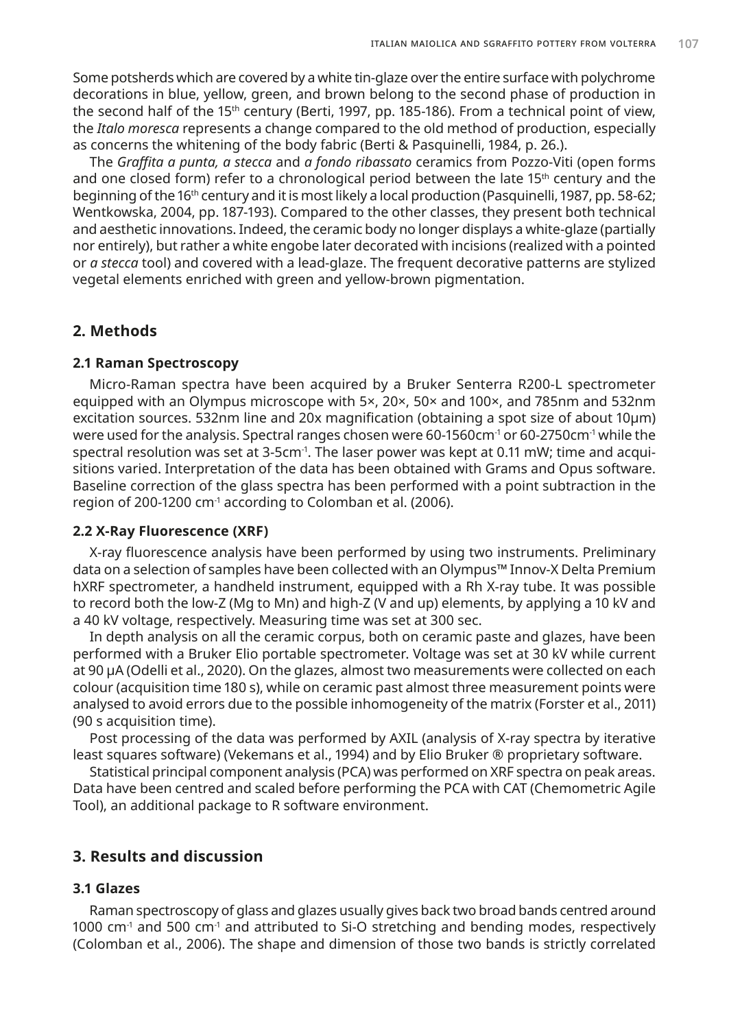Some potsherds which are covered by a white tin-glaze over the entire surface with polychrome decorations in blue, yellow, green, and brown belong to the second phase of production in the second half of the 15<sup>th</sup> century (Berti, 1997, pp. 185-186). From a technical point of view, the *Italo moresca* represents a change compared to the old method of production, especially as concerns the whitening of the body fabric (Berti & Pasquinelli, 1984, p. 26.).

The *Graffita a punta, a stecca* and *a fondo ribassato* ceramics from Pozzo-Viti (open forms and one closed form) refer to a chronological period between the late  $15<sup>th</sup>$  century and the beginning of the 16<sup>th</sup> century and it is most likely a local production (Pasquinelli, 1987, pp. 58-62; Wentkowska, 2004, pp. 187-193). Compared to the other classes, they present both technical and aesthetic innovations. Indeed, the ceramic body no longer displays a white-glaze (partially nor entirely), but rather a white engobe later decorated with incisions (realized with a pointed or *a stecca* tool) and covered with a lead-glaze. The frequent decorative patterns are stylized vegetal elements enriched with green and yellow-brown pigmentation.

## **2. Methods**

#### **2.1 Raman Spectroscopy**

Micro-Raman spectra have been acquired by a Bruker Senterra R200-L spectrometer equipped with an Olympus microscope with 5×, 20×, 50× and 100×, and 785nm and 532nm excitation sources. 532nm line and 20x magnification (obtaining a spot size of about 10µm) were used for the analysis. Spectral ranges chosen were 60-1560cm<sup>-1</sup> or 60-2750cm<sup>-1</sup> while the spectral resolution was set at 3-5cm<sup>-1</sup>. The laser power was kept at 0.11 mW; time and acquisitions varied. Interpretation of the data has been obtained with Grams and Opus software. Baseline correction of the glass spectra has been performed with a point subtraction in the region of 200-1200 cm<sup>-1</sup> according to Colomban et al. (2006).

#### **2.2 X-Ray Fluorescence (XRF)**

X-ray fluorescence analysis have been performed by using two instruments. Preliminary data on a selection of samples have been collected with an Olympus™ Innov-X Delta Premium hXRF spectrometer, a handheld instrument, equipped with a Rh X-ray tube. It was possible to record both the low-Z (Mg to Mn) and high-Z (V and up) elements, by applying a 10 kV and a 40 kV voltage, respectively. Measuring time was set at 300 sec.

In depth analysis on all the ceramic corpus, both on ceramic paste and glazes, have been performed with a Bruker Elio portable spectrometer. Voltage was set at 30 kV while current at 90 µA (Odelli et al., 2020). On the glazes, almost two measurements were collected on each colour (acquisition time 180 s), while on ceramic past almost three measurement points were analysed to avoid errors due to the possible inhomogeneity of the matrix (Forster et al., 2011) (90 s acquisition time).

Post processing of the data was performed by AXIL (analysis of X-ray spectra by iterative least squares software) (Vekemans et al., 1994) and by Elio Bruker ® proprietary software.

Statistical principal component analysis (PCA) was performed on XRF spectra on peak areas. Data have been centred and scaled before performing the PCA with CAT (Chemometric Agile Tool), an additional package to R software environment.

## **3. Results and discussion**

#### **3.1 Glazes**

Raman spectroscopy of glass and glazes usually gives back two broad bands centred around  $1000 \text{ cm}^{-1}$  and 500 cm<sup>-1</sup> and attributed to Si-O stretching and bending modes, respectively (Colomban et al., 2006). The shape and dimension of those two bands is strictly correlated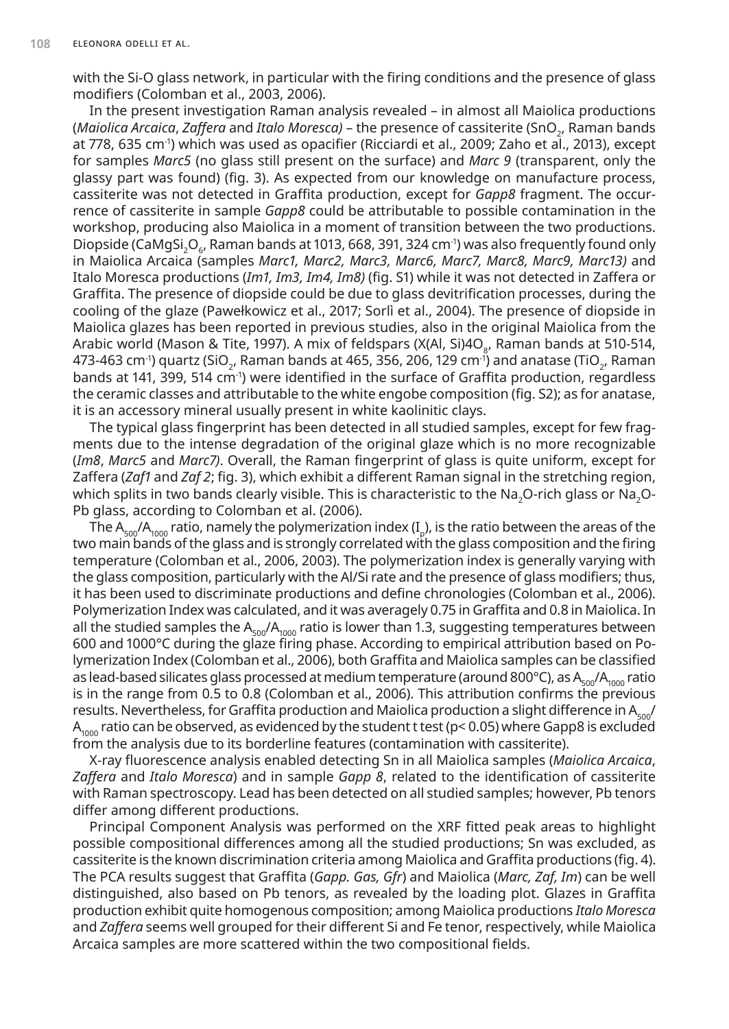with the Si-O glass network, in particular with the firing conditions and the presence of glass modifiers (Colomban et al., 2003, 2006).

In the present investigation Raman analysis revealed – in almost all Maiolica productions (*Maiolica Arcaica*, *Zaffera* and *Italo Moresca)* – the presence of cassiterite (SnO2 , Raman bands at 778, 635 cm-1) which was used as opacifier (Ricciardi et al., 2009; Zaho et al., 2013), except for samples *Marc5* (no glass still present on the surface) and *Marc 9* (transparent, only the glassy part was found) (fig. 3). As expected from our knowledge on manufacture process, cassiterite was not detected in Graffita production, except for *Gapp8* fragment. The occurrence of cassiterite in sample *Gapp8* could be attributable to possible contamination in the workshop, producing also Maiolica in a moment of transition between the two productions. Diopside (CaMgSi $_2$ O $_6$ , Raman bands at 1013, 668, 391, 324 cm<sup>-</sup>) was also frequently found only in Maiolica Arcaica (samples *Marc1, Marc2, Marc3, Marc6, Marc7, Marc8, Marc9, Marc13)* and Italo Moresca productions (*Im1, Im3, Im4, Im8)* (fig. S1) while it was not detected in Zaffera or Graffita. The presence of diopside could be due to glass devitrification processes, during the cooling of the glaze (Pawełkowicz et al., 2017; Sorlì et al., 2004). The presence of diopside in Maiolica glazes has been reported in previous studies, also in the original Maiolica from the Arabic world (Mason & Tite, 1997). A mix of feldspars (X(Al, Si)4O<sub>8</sub>, Raman bands at 510-514, 473-463 cm<sup>-1</sup>) quartz (SiO<sub>2</sub>, Raman bands at 465, 356, 206, 129 cm<sup>-1</sup>) and anatase (TiO<sub>2</sub>, Raman bands at 141, 399, 514 cm-1) were identified in the surface of Graffita production, regardless the ceramic classes and attributable to the white engobe composition (fig. S2); as for anatase, it is an accessory mineral usually present in white kaolinitic clays.

The typical glass fingerprint has been detected in all studied samples, except for few fragments due to the intense degradation of the original glaze which is no more recognizable (*Im8*, *Marc5* and *Marc7)*. Overall, the Raman fingerprint of glass is quite uniform, except for Zaffera (*Zaf1* and *Zaf 2*; fig. 3), which exhibit a different Raman signal in the stretching region, which splits in two bands clearly visible. This is characteristic to the Na<sub>2</sub>O-rich glass or Na<sub>2</sub>O-Pb glass, according to Colomban et al. (2006).

The A<sub>500</sub>/A<sub>1000</sub> ratio, namely the polymerization index (I<sub>n</sub>), is the ratio between the areas of the two main bands of the glass and is strongly correlated with the glass composition and the firing temperature (Colomban et al., 2006, 2003). The polymerization index is generally varying with the glass composition, particularly with the Al/Si rate and the presence of glass modifiers; thus, it has been used to discriminate productions and define chronologies (Colomban et al., 2006). Polymerization Index was calculated, and it was averagely 0.75 in Graffita and 0.8 in Maiolica. In all the studied samples the  $A_{500}/A_{1000}$  ratio is lower than 1.3, suggesting temperatures between 600 and 1000°C during the glaze firing phase. According to empirical attribution based on Polymerization Index (Colomban et al., 2006), both Graffita and Maiolica samples can be classified as lead-based silicates glass processed at medium temperature (around 800°C), as  $A_{500}/A_{1000}$  ratio is in the range from 0.5 to 0.8 (Colomban et al., 2006). This attribution confirms the previous results. Nevertheless, for Graffita production and Maiolica production a slight difference in  $A_{500}$ /  $A<sub>1000</sub>$  ratio can be observed, as evidenced by the student t test (p< 0.05) where Gapp8 is excluded from the analysis due to its borderline features (contamination with cassiterite).

X-ray fluorescence analysis enabled detecting Sn in all Maiolica samples (*Maiolica Arcaica*, *Zaffera* and *Italo Moresca*) and in sample *Gapp 8*, related to the identification of cassiterite with Raman spectroscopy. Lead has been detected on all studied samples; however, Pb tenors differ among different productions.

Principal Component Analysis was performed on the XRF fitted peak areas to highlight possible compositional differences among all the studied productions; Sn was excluded, as cassiterite is the known discrimination criteria among Maiolica and Graffita productions (fig. 4). The PCA results suggest that Graffita (*Gapp. Gas, Gfr*) and Maiolica (*Marc, Zaf, Im*) can be well distinguished, also based on Pb tenors, as revealed by the loading plot. Glazes in Graffita production exhibit quite homogenous composition; among Maiolica productions *Italo Moresca* and *Zaffera* seems well grouped for their different Si and Fe tenor, respectively, while Maiolica Arcaica samples are more scattered within the two compositional fields.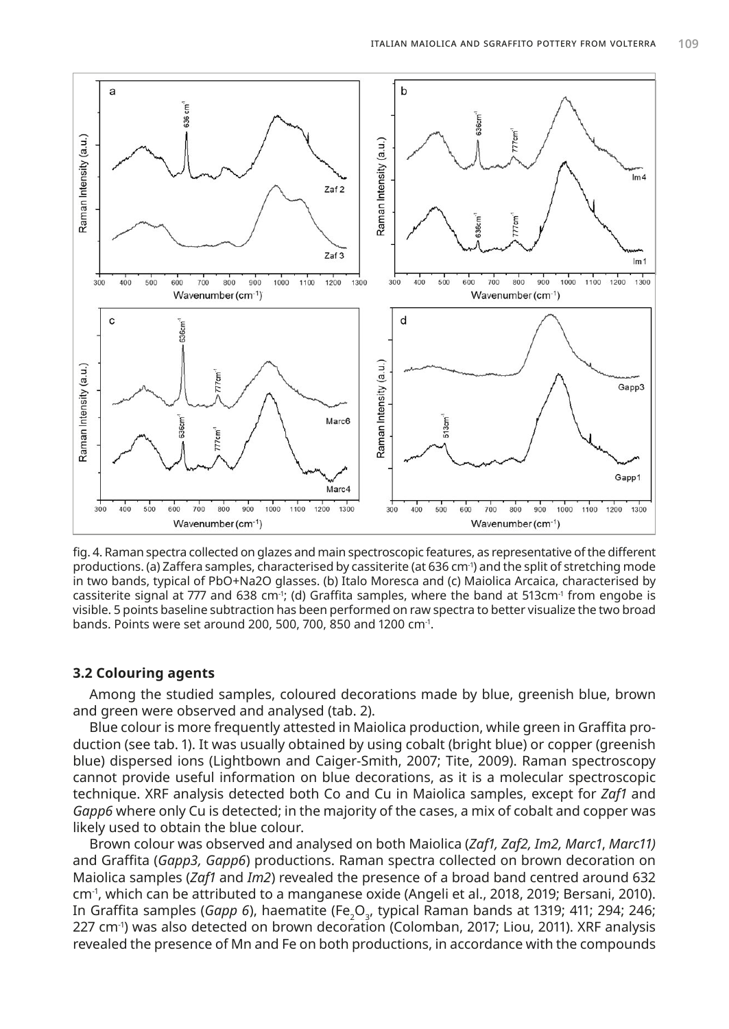

fig. 4. Raman spectra collected on glazes and main spectroscopic features, as representative of the different productions. (a) Zaffera samples, characterised by cassiterite (at 636 cm<sup>-1</sup>) and the split of stretching mode in two bands, typical of PbO+Na2O glasses. (b) Italo Moresca and (c) Maiolica Arcaica, characterised by cassiterite signal at 777 and 638 cm<sup>-1</sup>; (d) Graffita samples, where the band at 513cm<sup>-1</sup> from engobe is visible. 5 points baseline subtraction has been performed on raw spectra to better visualize the two broad bands. Points were set around 200, 500, 700, 850 and 1200 cm-1.

## **3.2 Colouring agents**

Among the studied samples, coloured decorations made by blue, greenish blue, brown and green were observed and analysed (tab. 2).

Blue colour is more frequently attested in Maiolica production, while green in Graffita production (see tab. 1). It was usually obtained by using cobalt (bright blue) or copper (greenish blue) dispersed ions (Lightbown and Caiger-Smith, 2007; Tite, 2009). Raman spectroscopy cannot provide useful information on blue decorations, as it is a molecular spectroscopic technique. XRF analysis detected both Co and Cu in Maiolica samples, except for *Zaf1* and *Gapp6* where only Cu is detected; in the majority of the cases, a mix of cobalt and copper was likely used to obtain the blue colour.

Brown colour was observed and analysed on both Maiolica (*Zaf1, Zaf2, Im2, Marc1*, *Marc11)*  and Graffita (*Gapp3, Gapp6*) productions. Raman spectra collected on brown decoration on Maiolica samples (*Zaf1* and *Im2*) revealed the presence of a broad band centred around 632 cm-1, which can be attributed to a manganese oxide (Angeli et al., 2018, 2019; Bersani, 2010). In Graffita samples (G*app 6*), haematite (Fe<sub>2</sub>O<sub>3</sub>, typical Raman bands at 1319; 411; 294; 246; 227 cm-1) was also detected on brown decoration (Colomban, 2017; Liou, 2011). XRF analysis revealed the presence of Mn and Fe on both productions, in accordance with the compounds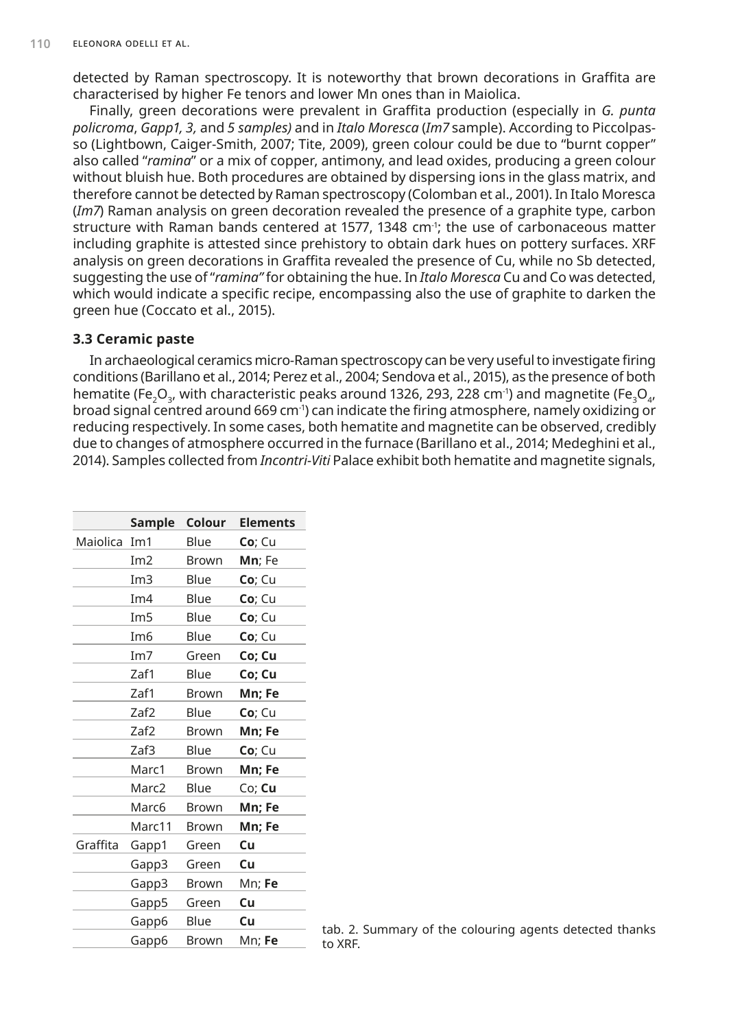detected by Raman spectroscopy. It is noteworthy that brown decorations in Graffita are characterised by higher Fe tenors and lower Mn ones than in Maiolica.

Finally, green decorations were prevalent in Graffita production (especially in *G. punta policroma*, *Gapp1, 3,* and *5 samples)* and in *Italo Moresca* (*Im7* sample). According to Piccolpasso (Lightbown, Caiger-Smith, 2007; Tite, 2009), green colour could be due to "burnt copper" also called "*ramina*" or a mix of copper, antimony, and lead oxides, producing a green colour without bluish hue. Both procedures are obtained by dispersing ions in the glass matrix, and therefore cannot be detected by Raman spectroscopy (Colomban et al., 2001). In Italo Moresca (*Im7*) Raman analysis on green decoration revealed the presence of a graphite type, carbon structure with Raman bands centered at 1577, 1348 cm<sup>-1</sup>; the use of carbonaceous matter including graphite is attested since prehistory to obtain dark hues on pottery surfaces. XRF analysis on green decorations in Graffita revealed the presence of Cu, while no Sb detected, suggesting the use of "*ramina"* for obtaining the hue. In *Italo Moresca* Cu and Co was detected, which would indicate a specific recipe, encompassing also the use of graphite to darken the green hue (Coccato et al., 2015).

#### **3.3 Ceramic paste**

In archaeological ceramics micro-Raman spectroscopy can be very useful to investigate firing conditions (Barillano et al., 2014; Perez et al., 2004; Sendova et al., 2015), as the presence of both hematite (Fe<sub>2</sub>O<sub>3</sub>, with characteristic peaks around 1326, 293, 228 cm<sup>-1</sup>) and magnetite (Fe<sub>3</sub>O<sub>4</sub>, broad signal centred around 669 cm<sup>-1</sup>) can indicate the firing atmosphere, namely oxidizing or reducing respectively. In some cases, both hematite and magnetite can be observed, credibly due to changes of atmosphere occurred in the furnace (Barillano et al., 2014; Medeghini et al., 2014). Samples collected from *Incontri-Viti* Palace exhibit both hematite and magnetite signals,

|          | Sample            | Colour       | <b>Elements</b> |
|----------|-------------------|--------------|-----------------|
| Maiolica | Im <sub>1</sub>   | Blue         | Co; Cu          |
|          | Im2               | <b>Brown</b> | Mn; Fe          |
|          | Im3               | Blue         | Co; Cu          |
|          | Im4               | Blue         | Co; Cu          |
|          | Im5               | Blue         | Co; Cu          |
|          | Im <sub>6</sub>   | Blue         | Co; Cu          |
|          | Im7               | Green        | Co; Cu          |
|          | Zaf1              | Blue         | Co; Cu          |
|          | Zaf1              | Brown        | Mn; Fe          |
|          | Zaf2              | Blue         | $Co$ ; Cu       |
|          | Zaf2              | <b>Brown</b> | Mn; Fe          |
|          | Zaf3              | Blue         | Co; Cu          |
|          | Marc1             | <b>Brown</b> | Mn; Fe          |
|          | Marc <sub>2</sub> | Blue         | Co; Cu          |
|          | Marc6             | Brown        | Mn; Fe          |
|          | Marc11            | <b>Brown</b> | Mn; Fe          |
| Graffita | Gapp1             | Green        | Cu              |
|          | Gapp3             | Green        | Cu              |
|          | Gapp3             | <b>Brown</b> | Mn; Fe          |
|          | Gapp5             | Green        | Cu              |
|          | Gapp6             | Blue         | Cu              |
|          | Gapp6             | <b>Brown</b> | Mn; Fe          |

tab. 2. Summary of the colouring agents detected thanks to XRF.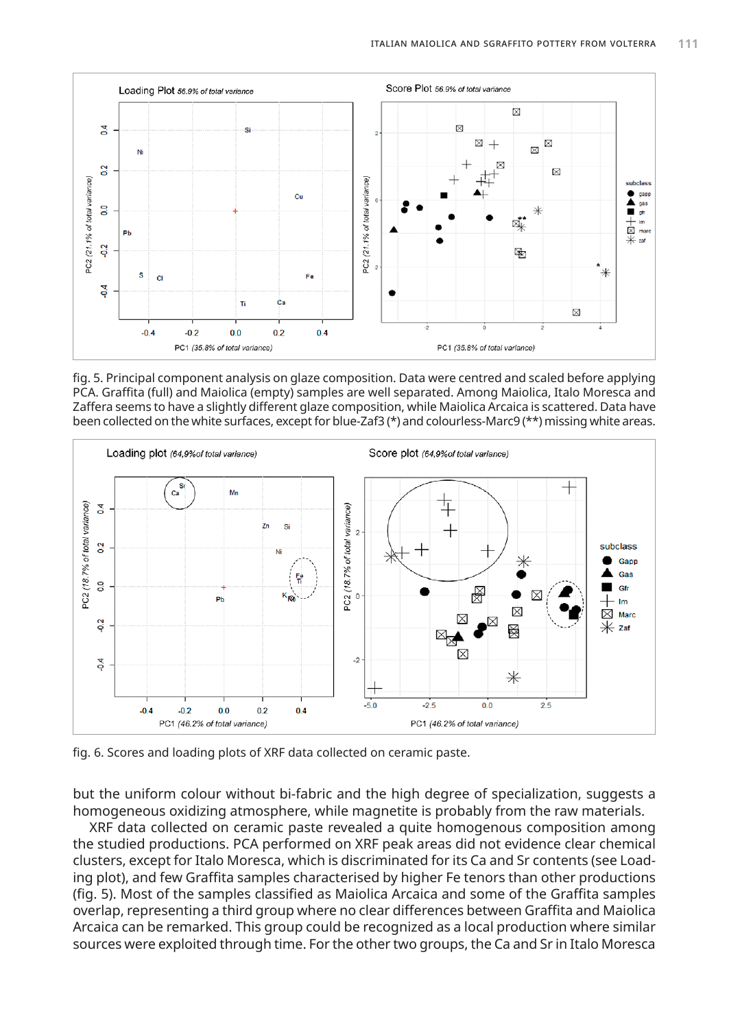

fig. 5. Principal component analysis on glaze composition. Data were centred and scaled before applying PCA. Graffita (full) and Maiolica (empty) samples are well separated. Among Maiolica, Italo Moresca and Zaffera seems to have a slightly different glaze composition, while Maiolica Arcaica is scattered. Data have been collected on the white surfaces, except for blue-Zaf3 (\*) and colourless-Marc9 (\*\*) missing white areas.



fig. 6. Scores and loading plots of XRF data collected on ceramic paste.

but the uniform colour without bi-fabric and the high degree of specialization, suggests a homogeneous oxidizing atmosphere, while magnetite is probably from the raw materials.

XRF data collected on ceramic paste revealed a quite homogenous composition among the studied productions. PCA performed on XRF peak areas did not evidence clear chemical clusters, except for Italo Moresca, which is discriminated for its Ca and Sr contents (see Loading plot), and few Graffita samples characterised by higher Fe tenors than other productions (fig. 5). Most of the samples classified as Maiolica Arcaica and some of the Graffita samples overlap, representing a third group where no clear differences between Graffita and Maiolica Arcaica can be remarked. This group could be recognized as a local production where similar sources were exploited through time. For the other two groups, the Ca and Sr in Italo Moresca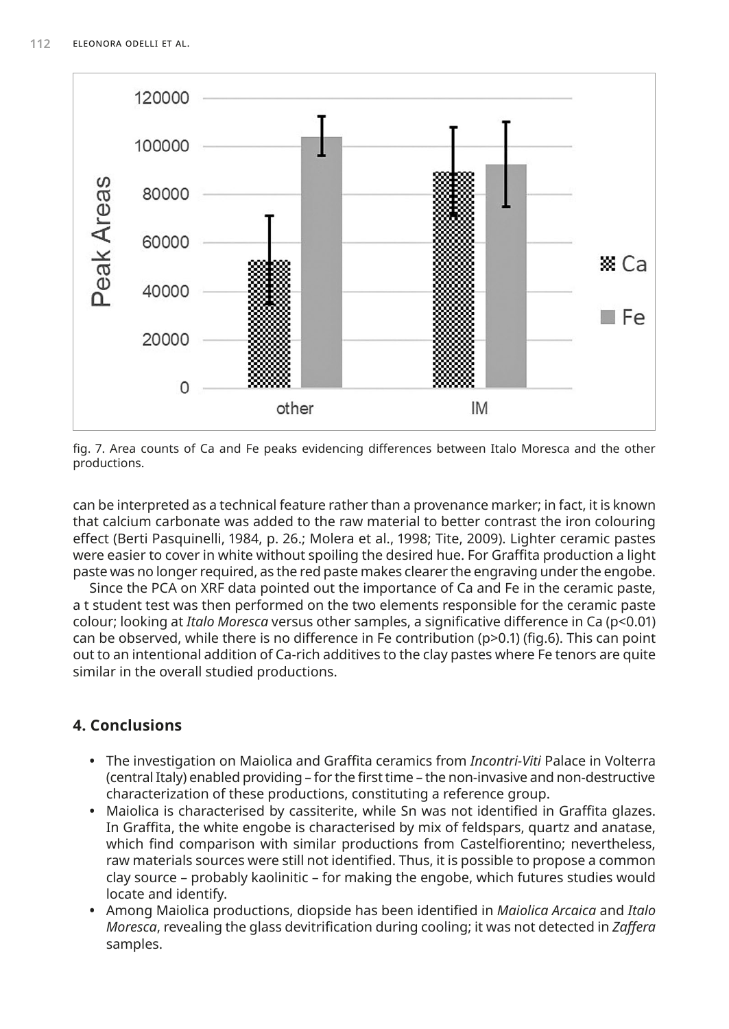

fig. 7. Area counts of Ca and Fe peaks evidencing differences between Italo Moresca and the other productions.

can be interpreted as a technical feature rather than a provenance marker; in fact, it is known that calcium carbonate was added to the raw material to better contrast the iron colouring effect (Berti Pasquinelli, 1984, p. 26.; Molera et al., 1998; Tite, 2009). Lighter ceramic pastes were easier to cover in white without spoiling the desired hue. For Graffita production a light paste was no longer required, as the red paste makes clearer the engraving under the engobe.

Since the PCA on XRF data pointed out the importance of Ca and Fe in the ceramic paste, a t student test was then performed on the two elements responsible for the ceramic paste colour; looking at *Italo Moresca* versus other samples, a significative difference in Ca (p<0.01) can be observed, while there is no difference in Fe contribution (p>0.1) (fig.6). This can point out to an intentional addition of Ca-rich additives to the clay pastes where Fe tenors are quite similar in the overall studied productions.

## **4. Conclusions**

- **•** The investigation on Maiolica and Graffita ceramics from *Incontri-Viti* Palace in Volterra (central Italy) enabled providing – for the first time – the non-invasive and non-destructive characterization of these productions, constituting a reference group.
- **•** Maiolica is characterised by cassiterite, while Sn was not identified in Graffita glazes. In Graffita, the white engobe is characterised by mix of feldspars, quartz and anatase, which find comparison with similar productions from Castelfiorentino; nevertheless, raw materials sources were still not identified. Thus, it is possible to propose a common clay source – probably kaolinitic – for making the engobe, which futures studies would locate and identify.
- **•** Among Maiolica productions, diopside has been identified in *Maiolica Arcaica* and *Italo Moresca*, revealing the glass devitrification during cooling; it was not detected in *Zaffera*  samples.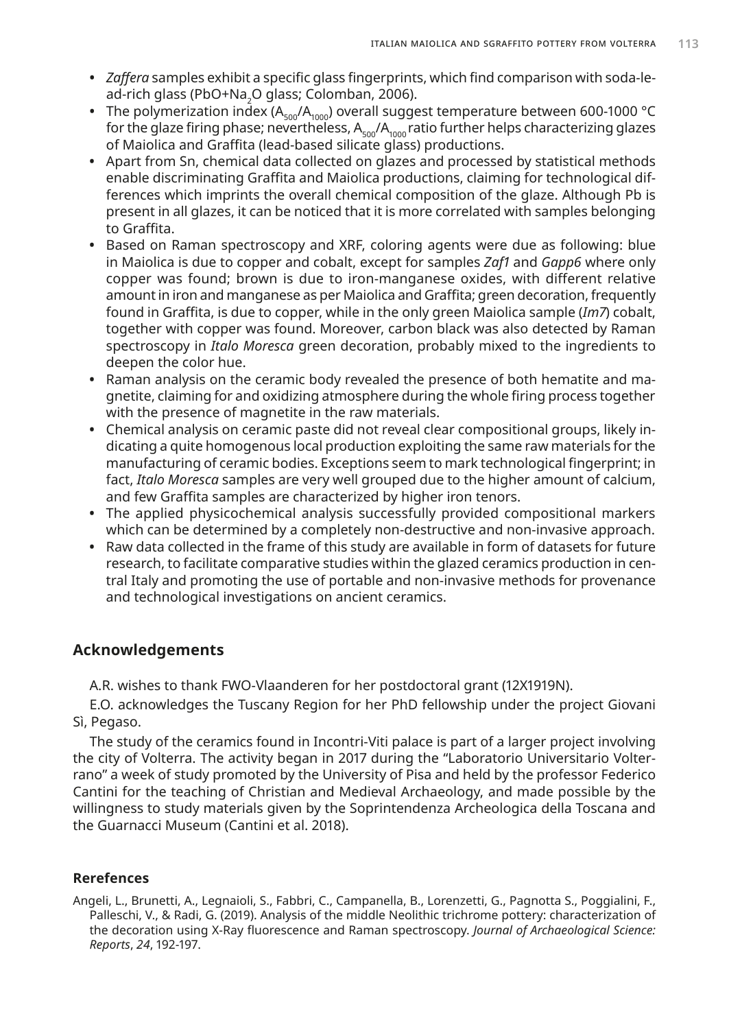- **•** *Zaffera* samples exhibit a specific glass fingerprints, which find comparison with soda-lead-rich glass (PbO+Na<sub>2</sub>O glass; Colomban, 2006).<br>—
- The polymerization index (A<sub>500</sub>/A<sub>1000</sub>) overall suggest temperature between 600-1000 °C for the glaze firing phase; nevertheless,  $A_{500}/A_{1000}$  ratio further helps characterizing glazes of Maiolica and Graffita (lead-based silicate glass) productions.
- **•** Apart from Sn, chemical data collected on glazes and processed by statistical methods enable discriminating Graffita and Maiolica productions, claiming for technological differences which imprints the overall chemical composition of the glaze. Although Pb is present in all glazes, it can be noticed that it is more correlated with samples belonging to Graffita.
- **•** Based on Raman spectroscopy and XRF, coloring agents were due as following: blue in Maiolica is due to copper and cobalt, except for samples *Zaf1* and *Gapp6* where only copper was found; brown is due to iron-manganese oxides, with different relative amount in iron and manganese as per Maiolica and Graffita; green decoration, frequently found in Graffita, is due to copper, while in the only green Maiolica sample (*Im7*) cobalt, together with copper was found. Moreover, carbon black was also detected by Raman spectroscopy in *Italo Moresca* green decoration, probably mixed to the ingredients to deepen the color hue.
- **•** Raman analysis on the ceramic body revealed the presence of both hematite and magnetite, claiming for and oxidizing atmosphere during the whole firing process together with the presence of magnetite in the raw materials.
- **•** Chemical analysis on ceramic paste did not reveal clear compositional groups, likely indicating a quite homogenous local production exploiting the same raw materials for the manufacturing of ceramic bodies. Exceptions seem to mark technological fingerprint; in fact, *Italo Moresca* samples are very well grouped due to the higher amount of calcium, and few Graffita samples are characterized by higher iron tenors.
- **•** The applied physicochemical analysis successfully provided compositional markers which can be determined by a completely non-destructive and non-invasive approach.
- **•** Raw data collected in the frame of this study are available in form of datasets for future research, to facilitate comparative studies within the glazed ceramics production in central Italy and promoting the use of portable and non-invasive methods for provenance and technological investigations on ancient ceramics.

## **Acknowledgements**

A.R. wishes to thank FWO-Vlaanderen for her postdoctoral grant (12X1919N).

E.O. acknowledges the Tuscany Region for her PhD fellowship under the project Giovani Sì, Pegaso.

The study of the ceramics found in Incontri-Viti palace is part of a larger project involving the city of Volterra. The activity began in 2017 during the "Laboratorio Universitario Volterrano" a week of study promoted by the University of Pisa and held by the professor Federico Cantini for the teaching of Christian and Medieval Archaeology, and made possible by the willingness to study materials given by the Soprintendenza Archeologica della Toscana and the Guarnacci Museum (Cantini et al. 2018).

#### **Rerefences**

Angeli, L., Brunetti, A., Legnaioli, S., Fabbri, C., Campanella, B., Lorenzetti, G., Pagnotta S., Poggialini, F., Palleschi, V., & Radi, G. (2019). Analysis of the middle Neolithic trichrome pottery: characterization of the decoration using X-Ray fluorescence and Raman spectroscopy. *Journal of Archaeological Science: Reports*, *24*, 192-197.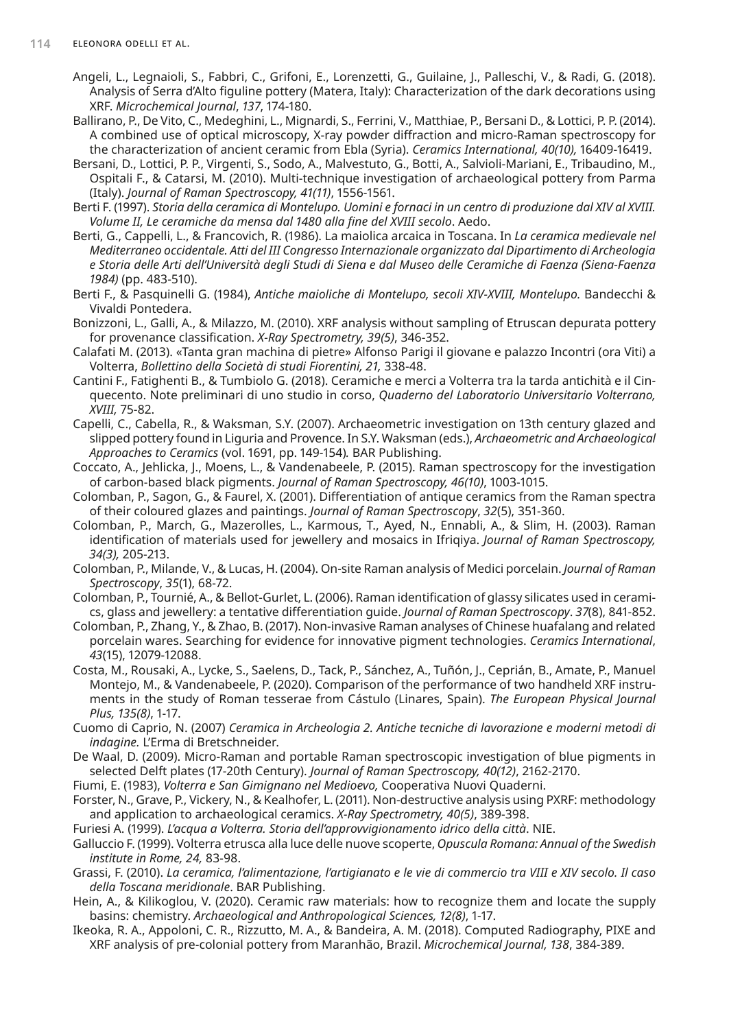- Angeli, L., Legnaioli, S., Fabbri, C., Grifoni, E., Lorenzetti, G., Guilaine, J., Palleschi, V., & Radi, G. (2018). Analysis of Serra d'Alto figuline pottery (Matera, Italy): Characterization of the dark decorations using XRF. *Microchemical Journal*, *137*, 174-180.
- Ballirano, P., De Vito, C., Medeghini, L., Mignardi, S., Ferrini, V., Matthiae, P., Bersani D., & Lottici, P. P. (2014). A combined use of optical microscopy, X-ray powder diffraction and micro-Raman spectroscopy for the characterization of ancient ceramic from Ebla (Syria). *Ceramics International, 40(10),* 16409-16419.
- Bersani, D., Lottici, P. P., Virgenti, S., Sodo, A., Malvestuto, G., Botti, A., Salvioli-Mariani, E., Tribaudino, M., Ospitali F., & Catarsi, M. (2010). Multi‐technique investigation of archaeological pottery from Parma (Italy). *Journal of Raman Spectroscopy, 41(11)*, 1556-1561.
- Berti F. (1997). *Storia della ceramica di Montelupo. Uomini e fornaci in un centro di produzione dal XIV al XVIII. Volume II, Le ceramiche da mensa dal 1480 alla fine del XVIII secolo*. Aedo.
- Berti, G., Cappelli, L., & Francovich, R. (1986). La maiolica arcaica in Toscana. In *La ceramica medievale nel Mediterraneo occidentale. Atti del III Congresso Internazionale organizzato dal Dipartimento di Archeologia e Storia delle Arti dell'Università degli Studi di Siena e dal Museo delle Ceramiche di Faenza (Siena-Faenza 1984)* (pp. 483-510).
- Berti F., & Pasquinelli G. (1984), *Antiche maioliche di Montelupo, secoli XIV-XVIII, Montelupo.* Bandecchi & Vivaldi Pontedera.
- Bonizzoni, L., Galli, A., & Milazzo, M. (2010). XRF analysis without sampling of Etruscan depurata pottery for provenance classification. *X‐Ray Spectrometry, 39(5)*, 346-352.
- Calafati M. (2013). «Tanta gran machina di pietre» Alfonso Parigi il giovane e palazzo Incontri (ora Viti) a Volterra, *Bollettino della Società di studi Fiorentini, 21,* 338-48.
- Cantini F., Fatighenti B., & Tumbiolo G. (2018). Ceramiche e merci a Volterra tra la tarda antichità e il Cinquecento. Note preliminari di uno studio in corso, *Quaderno del Laboratorio Universitario Volterrano, XVIII,* 75-82.
- Capelli, C., Cabella, R., & Waksman, S.Y. (2007). Archaeometric investigation on 13th century glazed and slipped pottery found in Liguria and Provence. In S.Y. Waksman (eds.), *Archaeometric and Archaeological Approaches to Ceramics* (vol. 1691, pp. 149-154)*.* BAR Publishing.
- Coccato, A., Jehlicka, J., Moens, L., & Vandenabeele, P. (2015). Raman spectroscopy for the investigation of carbon‐based black pigments. *Journal of Raman Spectroscopy, 46(10)*, 1003-1015.
- Colomban, P., Sagon, G., & Faurel, X. (2001). Differentiation of antique ceramics from the Raman spectra of their coloured glazes and paintings. *Journal of Raman Spectroscopy*, *32*(5), 351-360.
- Colomban, P., March, G., Mazerolles, L., Karmous, T., Ayed, N., Ennabli, A., & Slim, H. (2003). Raman identification of materials used for jewellery and mosaics in Ifriqiya. *Journal of Raman Spectroscopy, 34(3),* 205-213.
- Colomban, P., Milande, V., & Lucas, H. (2004). On‐site Raman analysis of Medici porcelain. *Journal of Raman Spectroscopy*, *35*(1), 68-72.
- Colomban, P., Tournié, A., & Bellot‐Gurlet, L. (2006). Raman identification of glassy silicates used in ceramics, glass and jewellery: a tentative differentiation guide. *Journal of Raman Spectroscopy*. *37*(8), 841-852.
- Colomban, P., Zhang, Y., & Zhao, B. (2017). Non-invasive Raman analyses of Chinese huafalang and related porcelain wares. Searching for evidence for innovative pigment technologies. *Ceramics International*, *43*(15), 12079-12088.
- Costa, M., Rousaki, A., Lycke, S., Saelens, D., Tack, P., Sánchez, A., Tuñón, J., Ceprián, B., Amate, P., Manuel Montejo, M., & Vandenabeele, P. (2020). Comparison of the performance of two handheld XRF instruments in the study of Roman tesserae from Cástulo (Linares, Spain). *The European Physical Journal Plus, 135(8)*, 1-17.
- Cuomo di Caprio, N. (2007) *Ceramica in Archeologia 2. Antiche tecniche di lavorazione e moderni metodi di indagine.* L'Erma di Bretschneider.
- De Waal, D. (2009). Micro‐Raman and portable Raman spectroscopic investigation of blue pigments in selected Delft plates (17-20th Century). *Journal of Raman Spectroscopy, 40(12)*, 2162-2170.
- Fiumi, E. (1983), *Volterra e San Gimignano nel Medioevo,* Cooperativa Nuovi Quaderni.
- Forster, N., Grave, P., Vickery, N., & Kealhofer, L. (2011). Non‐destructive analysis using PXRF: methodology and application to archaeological ceramics. *X‐Ray Spectrometry, 40(5)*, 389-398.
- Furiesi A. (1999). *L'acqua a Volterra. Storia dell'approvvigionamento idrico della città*. NIE.
- Galluccio F. (1999). Volterra etrusca alla luce delle nuove scoperte, *Opuscula Romana: Annual of the Swedish institute in Rome, 24,* 83-98.
- Grassi, F. (2010). *La ceramica, l'alimentazione, l'artigianato e le vie di commercio tra VIII e XIV secolo. Il caso della Toscana meridionale*. BAR Publishing.
- Hein, A., & Kilikoglou, V. (2020). Ceramic raw materials: how to recognize them and locate the supply basins: chemistry. *Archaeological and Anthropological Sciences, 12(8)*, 1-17.
- Ikeoka, R. A., Appoloni, C. R., Rizzutto, M. A., & Bandeira, A. M. (2018). Computed Radiography, PIXE and XRF analysis of pre-colonial pottery from Maranhão, Brazil. *Microchemical Journal, 138*, 384-389.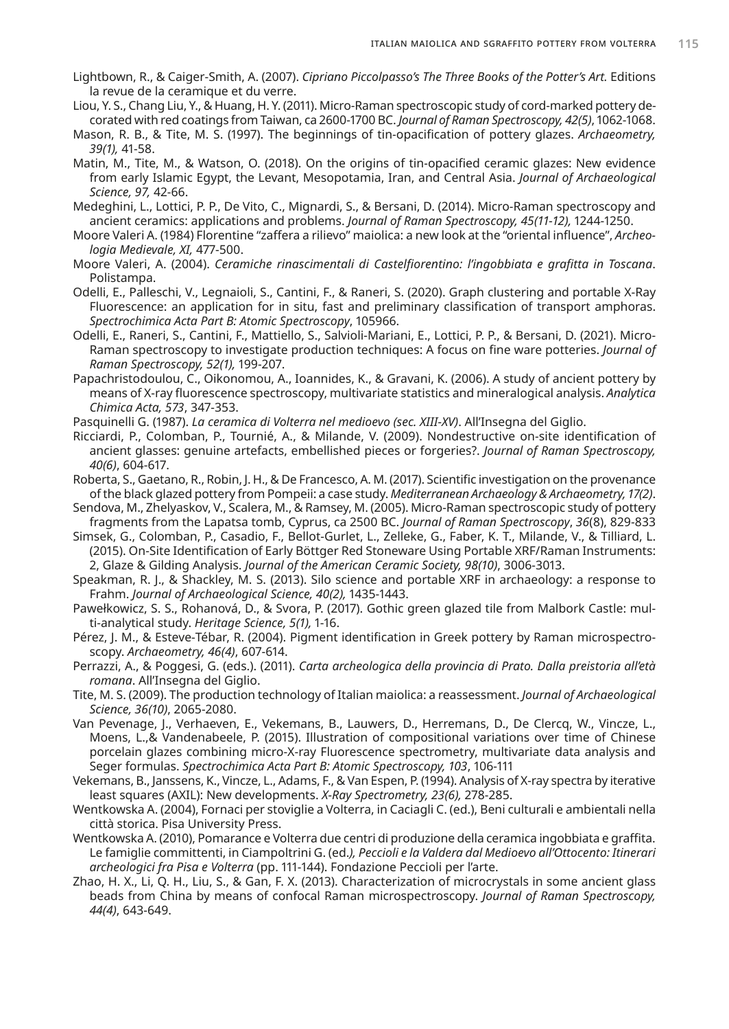- Lightbown, R., & Caiger-Smith, A. (2007). *Cipriano Piccolpasso's The Three Books of the Potter's Art.* Editions la revue de la ceramique et du verre.
- Liou, Y. S., Chang Liu, Y., & Huang, H. Y. (2011). Micro-Raman spectroscopic study of cord-marked pottery decorated with red coatings from Taiwan, ca 2600-1700 BC. *Journal of Raman Spectroscopy, 42(5)*, 1062-1068.
- Mason, R. B., & Tite, M. S. (1997). The beginnings of tin-opacification of pottery glazes. *Archaeometry, 39(1),* 41-58.
- Matin, M., Tite, M., & Watson, O. (2018). On the origins of tin-opacified ceramic glazes: New evidence from early Islamic Egypt, the Levant, Mesopotamia, Iran, and Central Asia. *Journal of Archaeological Science, 97,* 42-66.
- Medeghini, L., Lottici, P. P., De Vito, C., Mignardi, S., & Bersani, D. (2014). Micro‐Raman spectroscopy and ancient ceramics: applications and problems. *Journal of Raman Spectroscopy, 45(11-12),* 1244-1250.
- Moore Valeri A. (1984) Florentine "zaffera a rilievo" maiolica: a new look at the "oriental influence", *Archeologia Medievale, XI,* 477-500.
- Moore Valeri, A. (2004). *Ceramiche rinascimentali di Castelfiorentino: l'ingobbiata e grafitta in Toscana*. Polistampa.
- Odelli, E., Palleschi, V., Legnaioli, S., Cantini, F., & Raneri, S. (2020). Graph clustering and portable X-Ray Fluorescence: an application for in situ, fast and preliminary classification of transport amphoras. *Spectrochimica Acta Part B: Atomic Spectroscopy*, 105966.
- Odelli, E., Raneri, S., Cantini, F., Mattiello, S., Salvioli‐Mariani, E., Lottici, P. P., & Bersani, D. (2021). Micro‐ Raman spectroscopy to investigate production techniques: A focus on fine ware potteries. *Journal of Raman Spectroscopy, 52(1),* 199-207.
- Papachristodoulou, C., Oikonomou, A., Ioannides, K., & Gravani, K. (2006). A study of ancient pottery by means of X-ray fluorescence spectroscopy, multivariate statistics and mineralogical analysis. *Analytica Chimica Acta, 573*, 347-353.

Pasquinelli G. (1987). *La ceramica di Volterra nel medioevo (sec. XIII-XV)*. All'Insegna del Giglio.

- Ricciardi, P., Colomban, P., Tournié, A., & Milande, V. (2009). Nondestructive on‐site identification of ancient glasses: genuine artefacts, embellished pieces or forgeries?. *Journal of Raman Spectroscopy, 40(6)*, 604-617.
- Roberta, S., Gaetano, R., Robin, J. H., & De Francesco, A. M. (2017). Scientific investigation on the provenance of the black glazed pottery from Pompeii: a case study. *Mediterranean Archaeology & Archaeometry, 17(2)*.
- Sendova, M., Zhelyaskov, V., Scalera, M., & Ramsey, M. (2005). Micro‐Raman spectroscopic study of pottery fragments from the Lapatsa tomb, Cyprus, ca 2500 BC. *Journal of Raman Spectroscopy*, *36*(8), 829-833
- Simsek, G., Colomban, P., Casadio, F., Bellot‐Gurlet, L., Zelleke, G., Faber, K. T., Milande, V., & Tilliard, L. (2015). On‐Site Identification of Early Böttger Red Stoneware Using Portable XRF/Raman Instruments: 2, Glaze & Gilding Analysis. *Journal of the American Ceramic Society, 98(10)*, 3006-3013.
- Speakman, R. J., & Shackley, M. S. (2013). Silo science and portable XRF in archaeology: a response to Frahm. *Journal of Archaeological Science, 40(2),* 1435-1443.
- Pawełkowicz, S. S., Rohanová, D., & Svora, P. (2017). Gothic green glazed tile from Malbork Castle: multi-analytical study. *Heritage Science, 5(1),* 1-16.
- Pérez, J. M., & Esteve‐Tébar, R. (2004). Pigment identification in Greek pottery by Raman microspectroscopy. *Archaeometry, 46(4)*, 607-614.
- Perrazzi, A., & Poggesi, G. (eds.). (2011). *Carta archeologica della provincia di Prato. Dalla preistoria all'età romana*. All'Insegna del Giglio.
- Tite, M. S. (2009). The production technology of Italian maiolica: a reassessment. *Journal of Archaeological Science, 36(10)*, 2065-2080.
- Van Pevenage, J., Verhaeven, E., Vekemans, B., Lauwers, D., Herremans, D., De Clercq, W., Vincze, L., Moens, L.,& Vandenabeele, P. (2015). Illustration of compositional variations over time of Chinese porcelain glazes combining micro-X-ray Fluorescence spectrometry, multivariate data analysis and Seger formulas. *Spectrochimica Acta Part B: Atomic Spectroscopy, 103*, 106-111
- Vekemans, B., Janssens, K., Vincze, L., Adams, F., & Van Espen, P. (1994). Analysis of X‐ray spectra by iterative least squares (AXIL): New developments. *X‐Ray Spectrometry, 23(6),* 278-285.
- Wentkowska A. (2004), Fornaci per stoviglie a Volterra, in Caciagli C. (ed.), Beni culturali e ambientali nella città storica. Pisa University Press.
- Wentkowska A. (2010), Pomarance e Volterra due centri di produzione della ceramica ingobbiata e graffita. Le famiglie committenti, in Ciampoltrini G. (ed.*), Peccioli e la Valdera dal Medioevo all'Ottocento: Itinerari archeologici fra Pisa e Volterra* (pp. 111-144). Fondazione Peccioli per l'arte.
- Zhao, H. X., Li, Q. H., Liu, S., & Gan, F. X. (2013). Characterization of microcrystals in some ancient glass beads from China by means of confocal Raman microspectroscopy. *Journal of Raman Spectroscopy, 44(4)*, 643-649.